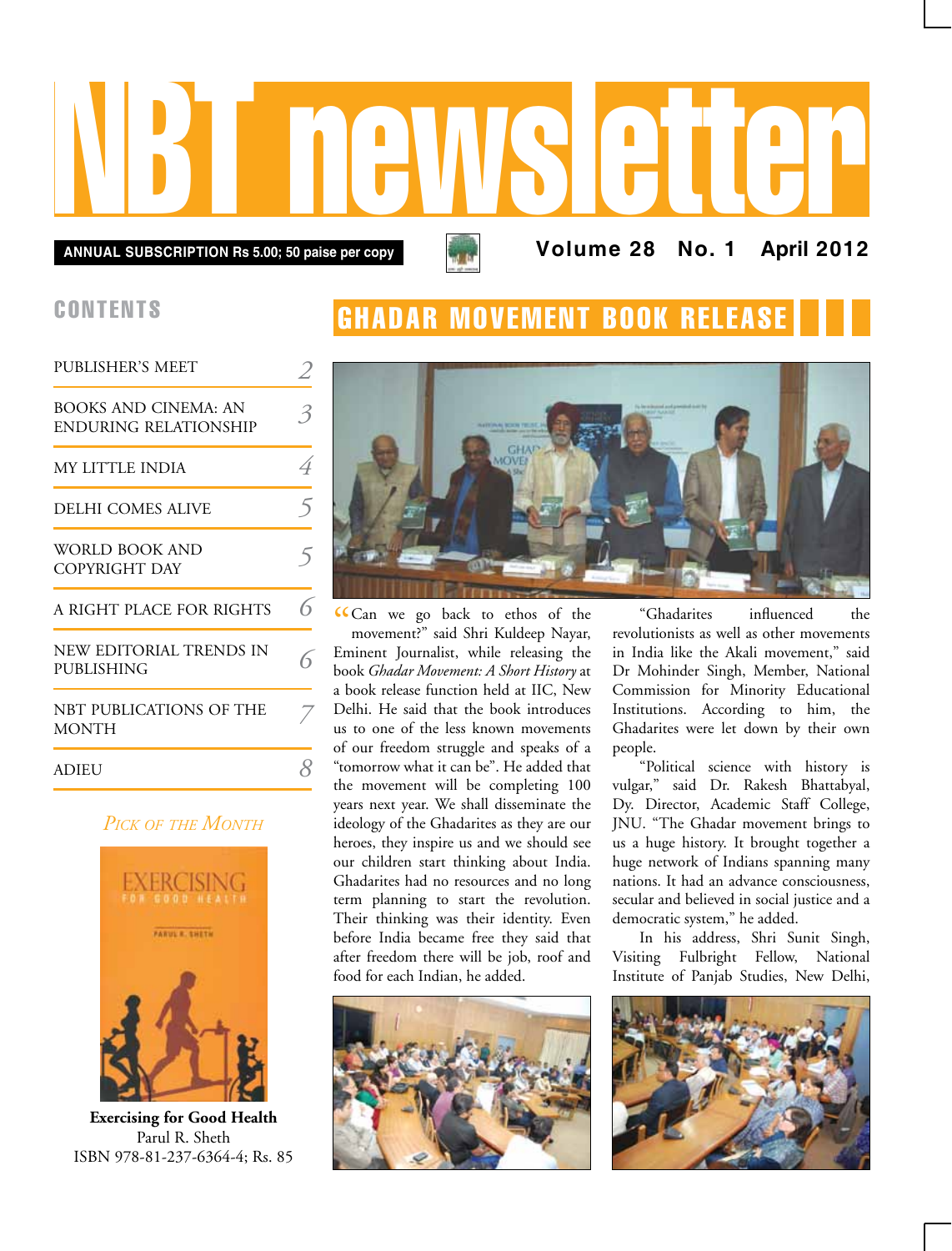# NBT newsletter

**Annual subscription Rs 5.00; 50 paise per copy Volume 28 No. 1 April 2012**

## **CONTENTS**

| <b>PUBLISHER'S MEET</b>                              |  |
|------------------------------------------------------|--|
| BOOKS AND CINEMA: AN<br><b>ENDURING RELATIONSHIP</b> |  |
| MY LITTLE INDIA                                      |  |
| DELHI COMES ALIVE                                    |  |
| <b>WORLD BOOK AND</b><br>COPYRIGHT DAY               |  |
| A RIGHT PLACE FOR RIGHTS                             |  |
| NEW EDITORIAL TRENDS IN<br>PUBLISHING                |  |
| NBT PUBLICATIONS OF THE<br><b>MONTH</b>              |  |
| ADIEU                                                |  |

#### *Pick of the Month*



**Exercising for Good Health** Parul R. Sheth ISBN 978-81-237-6364-4; Rs. 85

# **GHADAR MOVEMENT BOOK RELEA**



CCan we go back to ethos of the movement?" said Shri Kuldeep Nayar, movement?" said Shri Kuldeep Nayar, Eminent Journalist, while releasing the book *Ghadar Movement: A Short History* at a book release function held at IIC, New Delhi. He said that the book introduces us to one of the less known movements of our freedom struggle and speaks of a "tomorrow what it can be". He added that the movement will be completing 100 years next year. We shall disseminate the ideology of the Ghadarites as they are our heroes, they inspire us and we should see our children start thinking about India. Ghadarites had no resources and no long term planning to start the revolution. Their thinking was their identity. Even before India became free they said that after freedom there will be job, roof and food for each Indian, he added.



"Ghadarites influenced the revolutionists as well as other movements in India like the Akali movement," said Dr Mohinder Singh, Member, National Commission for Minority Educational Institutions. According to him, the Ghadarites were let down by their own people.

"Political science with history is vulgar," said Dr. Rakesh Bhattabyal, Dy. Director, Academic Staff College, JNU. "The Ghadar movement brings to us a huge history. It brought together a huge network of Indians spanning many nations. It had an advance consciousness, secular and believed in social justice and a democratic system," he added.

In his address, Shri Sunit Singh, Visiting Fulbright Fellow, National Institute of Panjab Studies, New Delhi,

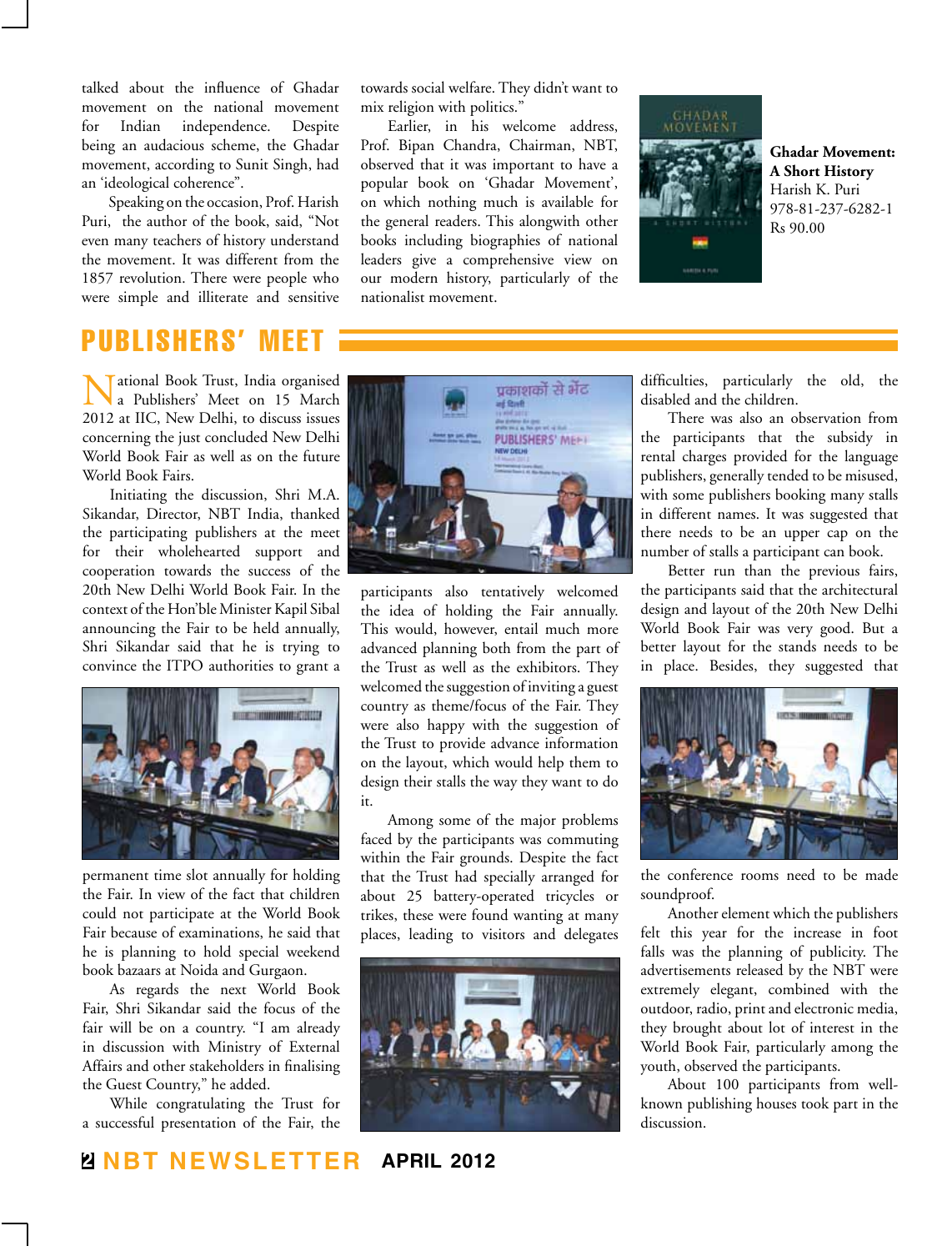talked about the influence of Ghadar movement on the national movement for Indian independence. Despite being an audacious scheme, the Ghadar movement, according to Sunit Singh, had an 'ideological coherence".

Speaking on the occasion, Prof. Harish Puri, the author of the book, said, "Not even many teachers of history understand the movement. It was different from the 1857 revolution. There were people who were simple and illiterate and sensitive

# publishers' meet

Tational Book Trust, India organised a Publishers' Meet on 15 March 2012 at IIC, New Delhi, to discuss issues concerning the just concluded New Delhi World Book Fair as well as on the future World Book Fairs.

Initiating the discussion, Shri M.A. Sikandar, Director, NBT India, thanked the participating publishers at the meet for their wholehearted support and cooperation towards the success of the 20th New Delhi World Book Fair. In the context of the Hon'ble Minister Kapil Sibal announcing the Fair to be held annually, Shri Sikandar said that he is trying to convince the ITPO authorities to grant a



permanent time slot annually for holding the Fair. In view of the fact that children could not participate at the World Book Fair because of examinations, he said that he is planning to hold special weekend book bazaars at Noida and Gurgaon.

As regards the next World Book Fair, Shri Sikandar said the focus of the fair will be on a country. "I am already in discussion with Ministry of External Affairs and other stakeholders in finalising the Guest Country," he added.

While congratulating the Trust for a successful presentation of the Fair, the

towards social welfare. They didn't want to mix religion with politics."

Earlier, in his welcome address, Prof. Bipan Chandra, Chairman, NBT, observed that it was important to have a popular book on 'Ghadar Movement', on which nothing much is available for the general readers. This alongwith other books including biographies of national leaders give a comprehensive view on our modern history, particularly of the nationalist movement.



**Ghadar Movement: A Short History** Harish K. Puri 978-81-237-6282-1 Rs 90.00



participants also tentatively welcomed the idea of holding the Fair annually. This would, however, entail much more advanced planning both from the part of the Trust as well as the exhibitors. They welcomed the suggestion of inviting a guest country as theme/focus of the Fair. They were also happy with the suggestion of the Trust to provide advance information on the layout, which would help them to design their stalls the way they want to do it.

Among some of the major problems faced by the participants was commuting within the Fair grounds. Despite the fact that the Trust had specially arranged for about 25 battery-operated tricycles or trikes, these were found wanting at many places, leading to visitors and delegates



difficulties, particularly the old, the disabled and the children.

There was also an observation from the participants that the subsidy in rental charges provided for the language publishers, generally tended to be misused, with some publishers booking many stalls in different names. It was suggested that there needs to be an upper cap on the number of stalls a participant can book.

Better run than the previous fairs, the participants said that the architectural design and layout of the 20th New Delhi World Book Fair was very good. But a better layout for the stands needs to be in place. Besides, they suggested that



the conference rooms need to be made soundproof.

Another element which the publishers felt this year for the increase in foot falls was the planning of publicity. The advertisements released by the NBT were extremely elegant, combined with the outdoor, radio, print and electronic media, they brought about lot of interest in the World Book Fair, particularly among the youth, observed the participants.

About 100 participants from wellknown publishing houses took part in the discussion.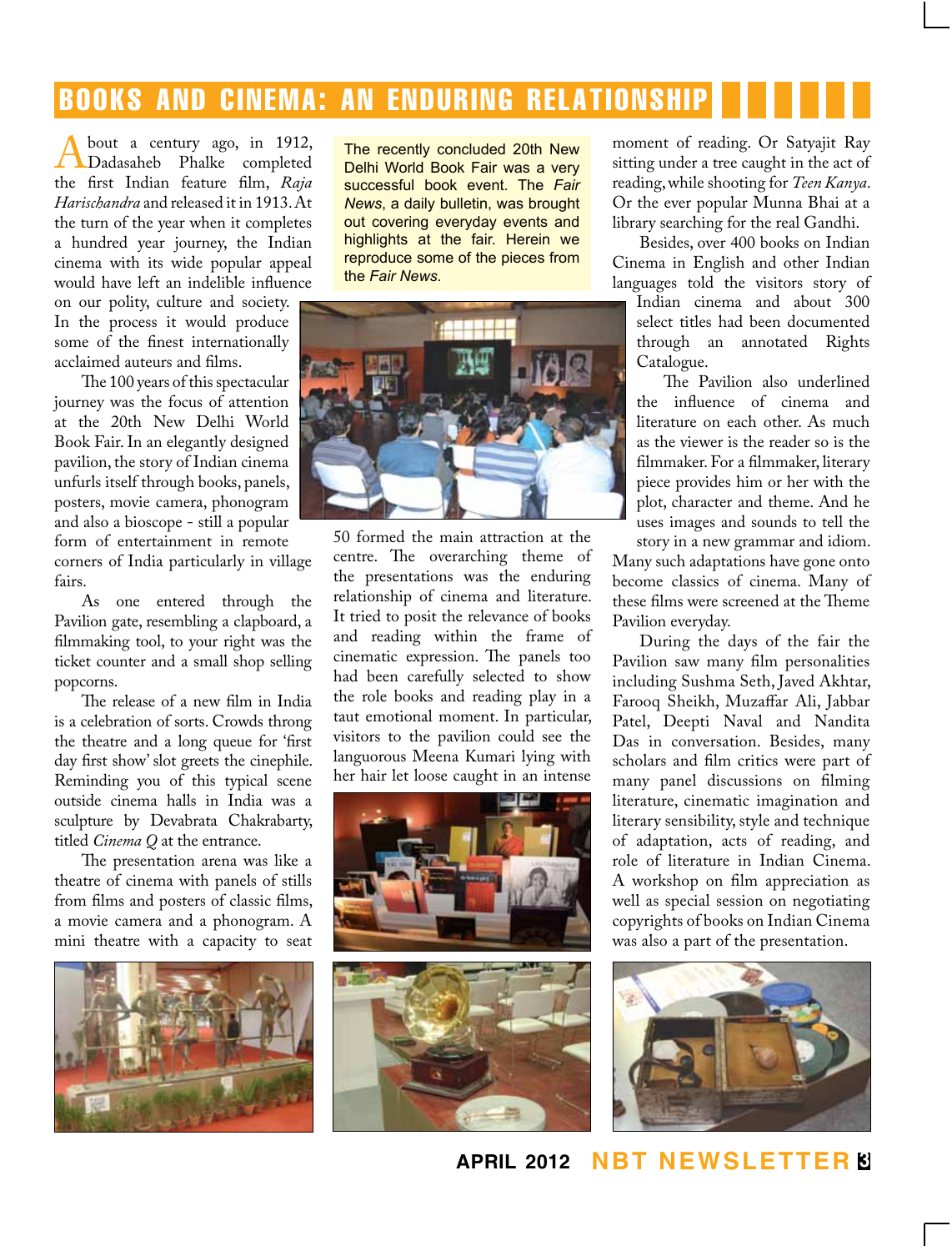# books and cinema: an enduring relationship

**A** bout a century ago, in 1912,<br>
Dadasaheb Phalke completed<br>
the first Indian feature film *Raia* the first Indian feature film, *Raja Harischandra* and released it in 1913. At the turn of the year when it completes a hundred year journey, the Indian cinema with its wide popular appeal would have left an indelible influence

on our polity, culture and society. In the process it would produce some of the finest internationally acclaimed auteurs and films.

The 100 years of this spectacular journey was the focus of attention at the 20th New Delhi World Book Fair. In an elegantly designed pavilion, the story of Indian cinema unfurls itself through books, panels, posters, movie camera, phonogram and also a bioscope - still a popular form of entertainment in remote corners of India particularly in village fairs.

As one entered through the Pavilion gate, resembling a clapboard, a filmmaking tool, to your right was the ticket counter and a small shop selling popcorns.

The release of a new film in India is a celebration of sorts. Crowds throng the theatre and a long queue for 'first day first show' slot greets the cinephile. Reminding you of this typical scene outside cinema halls in India was a sculpture by Devabrata Chakrabarty, titled *Cinema Q* at the entrance.

The presentation arena was like a theatre of cinema with panels of stills from films and posters of classic films, a movie camera and a phonogram. A mini theatre with a capacity to seat



The recently concluded 20th New Delhi World Book Fair was a very successful book event. The *Fair News*, a daily bulletin, was brought out covering everyday events and highlights at the fair. Herein we reproduce some of the pieces from the *Fair News*.



50 formed the main attraction at the centre. The overarching theme of the presentations was the enduring relationship of cinema and literature. It tried to posit the relevance of books and reading within the frame of cinematic expression. The panels too had been carefully selected to show the role books and reading play in a taut emotional moment. In particular, visitors to the pavilion could see the languorous Meena Kumari lying with her hair let loose caught in an intense





moment of reading. Or Satyajit Ray sitting under a tree caught in the act of reading, while shooting for *Teen Kanya*. Or the ever popular Munna Bhai at a library searching for the real Gandhi.

Besides, over 400 books on Indian Cinema in English and other Indian languages told the visitors story of

Indian cinema and about 300 select titles had been documented through an annotated Rights Catalogue.

The Pavilion also underlined the influence of cinema and literature on each other. As much as the viewer is the reader so is the filmmaker. For a filmmaker, literary piece provides him or her with the plot, character and theme. And he uses images and sounds to tell the

story in a new grammar and idiom. Many such adaptations have gone onto become classics of cinema. Many of these films were screened at the Theme Pavilion everyday.

During the days of the fair the Pavilion saw many film personalities including Sushma Seth, Javed Akhtar, Farooq Sheikh, Muzaffar Ali, Jabbar Patel, Deepti Naval and Nandita Das in conversation. Besides, many scholars and film critics were part of many panel discussions on filming literature, cinematic imagination and literary sensibility, style and technique of adaptation, acts of reading, and role of literature in Indian Cinema. A workshop on film appreciation as well as special session on negotiating copyrights of books on Indian Cinema was also a part of the presentation.



**april 2012 NBT Newsletter 3**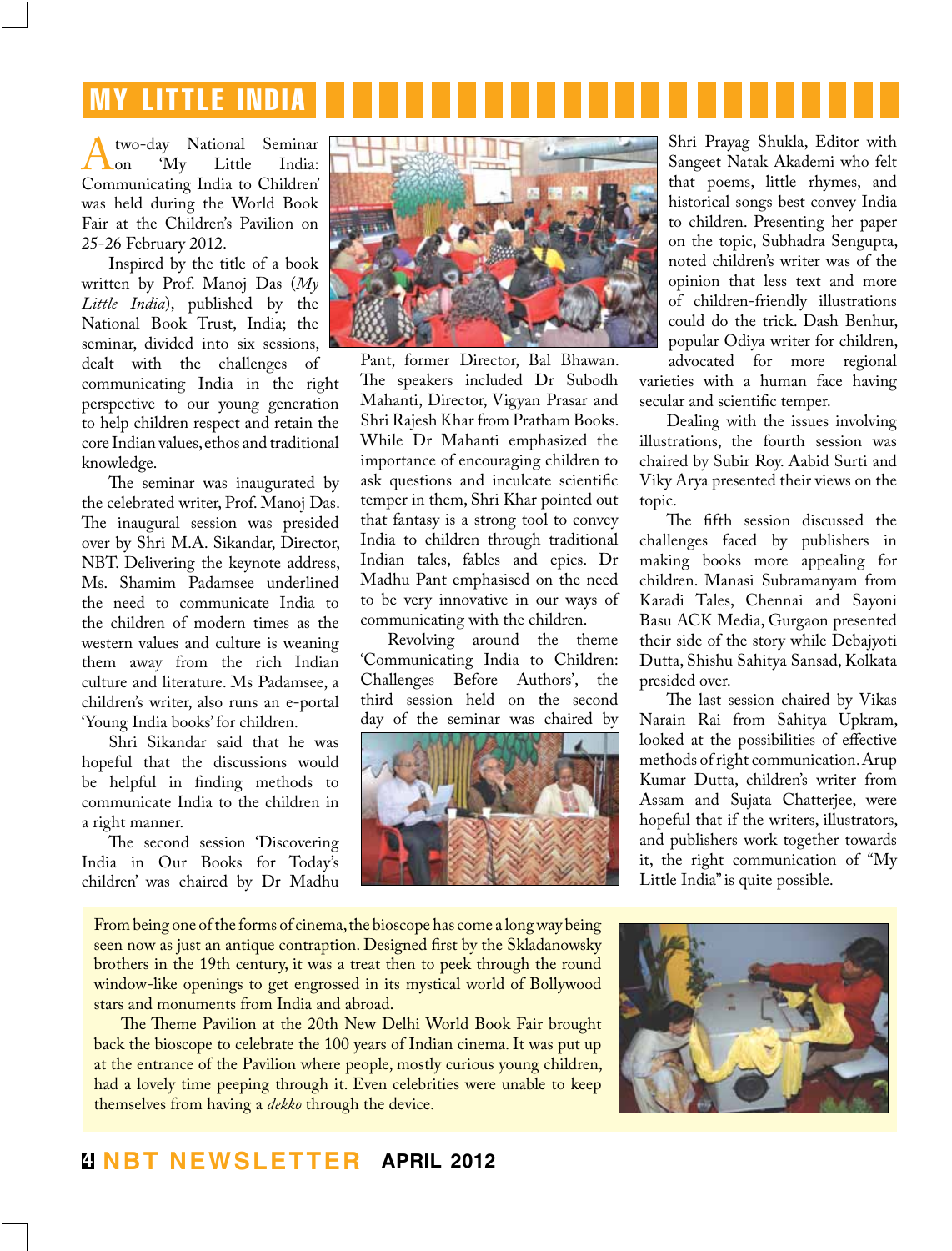# my little india

Atwo-day National Seminar Communicating India to Children' on 'My Little India: was held during the World Book Fair at the Children's Pavilion on 25-26 February 2012.

Inspired by the title of a book written by Prof. Manoj Das (*My Little India*), published by the National Book Trust, India; the seminar, divided into six sessions, dealt with the challenges of communicating India in the right perspective to our young generation to help children respect and retain the core Indian values, ethos and traditional knowledge.

The seminar was inaugurated by the celebrated writer, Prof. Manoj Das. The inaugural session was presided over by Shri M.A. Sikandar, Director, NBT. Delivering the keynote address, Ms. Shamim Padamsee underlined the need to communicate India to the children of modern times as the western values and culture is weaning them away from the rich Indian culture and literature. Ms Padamsee, a children's writer, also runs an e-portal 'Young India books' for children.

Shri Sikandar said that he was hopeful that the discussions would be helpful in finding methods to communicate India to the children in a right manner.

The second session 'Discovering India in Our Books for Today's children' was chaired by Dr Madhu



Pant, former Director, Bal Bhawan. The speakers included Dr Subodh Mahanti, Director, Vigyan Prasar and Shri Rajesh Khar from Pratham Books. While Dr Mahanti emphasized the importance of encouraging children to ask questions and inculcate scientific temper in them, Shri Khar pointed out that fantasy is a strong tool to convey India to children through traditional Indian tales, fables and epics. Dr Madhu Pant emphasised on the need to be very innovative in our ways of communicating with the children.

Revolving around the theme 'Communicating India to Children: Challenges Before Authors', the third session held on the second day of the seminar was chaired by



Shri Prayag Shukla, Editor with Sangeet Natak Akademi who felt that poems, little rhymes, and historical songs best convey India to children. Presenting her paper on the topic, Subhadra Sengupta, noted children's writer was of the opinion that less text and more of children-friendly illustrations could do the trick. Dash Benhur, popular Odiya writer for children, advocated for more regional

varieties with a human face having secular and scientific temper.

Dealing with the issues involving illustrations, the fourth session was chaired by Subir Roy. Aabid Surti and Viky Arya presented their views on the topic.

The fifth session discussed the challenges faced by publishers in making books more appealing for children. Manasi Subramanyam from Karadi Tales, Chennai and Sayoni Basu ACK Media, Gurgaon presented their side of the story while Debajyoti Dutta, Shishu Sahitya Sansad, Kolkata presided over.

The last session chaired by Vikas Narain Rai from Sahitya Upkram, looked at the possibilities of effective methods of right communication. Arup Kumar Dutta, children's writer from Assam and Sujata Chatterjee, were hopeful that if the writers, illustrators, and publishers work together towards it, the right communication of "My Little India" is quite possible.

From being one of the forms of cinema, the bioscope has come a long way being seen now as just an antique contraption. Designed first by the Skladanowsky brothers in the 19th century, it was a treat then to peek through the round window-like openings to get engrossed in its mystical world of Bollywood stars and monuments from India and abroad.

The Theme Pavilion at the 20th New Delhi World Book Fair brought back the bioscope to celebrate the 100 years of Indian cinema. It was put up at the entrance of the Pavilion where people, mostly curious young children, had a lovely time peeping through it. Even celebrities were unable to keep themselves from having a *dekko* through the device.



## **4 NBT Newsletter april 2012**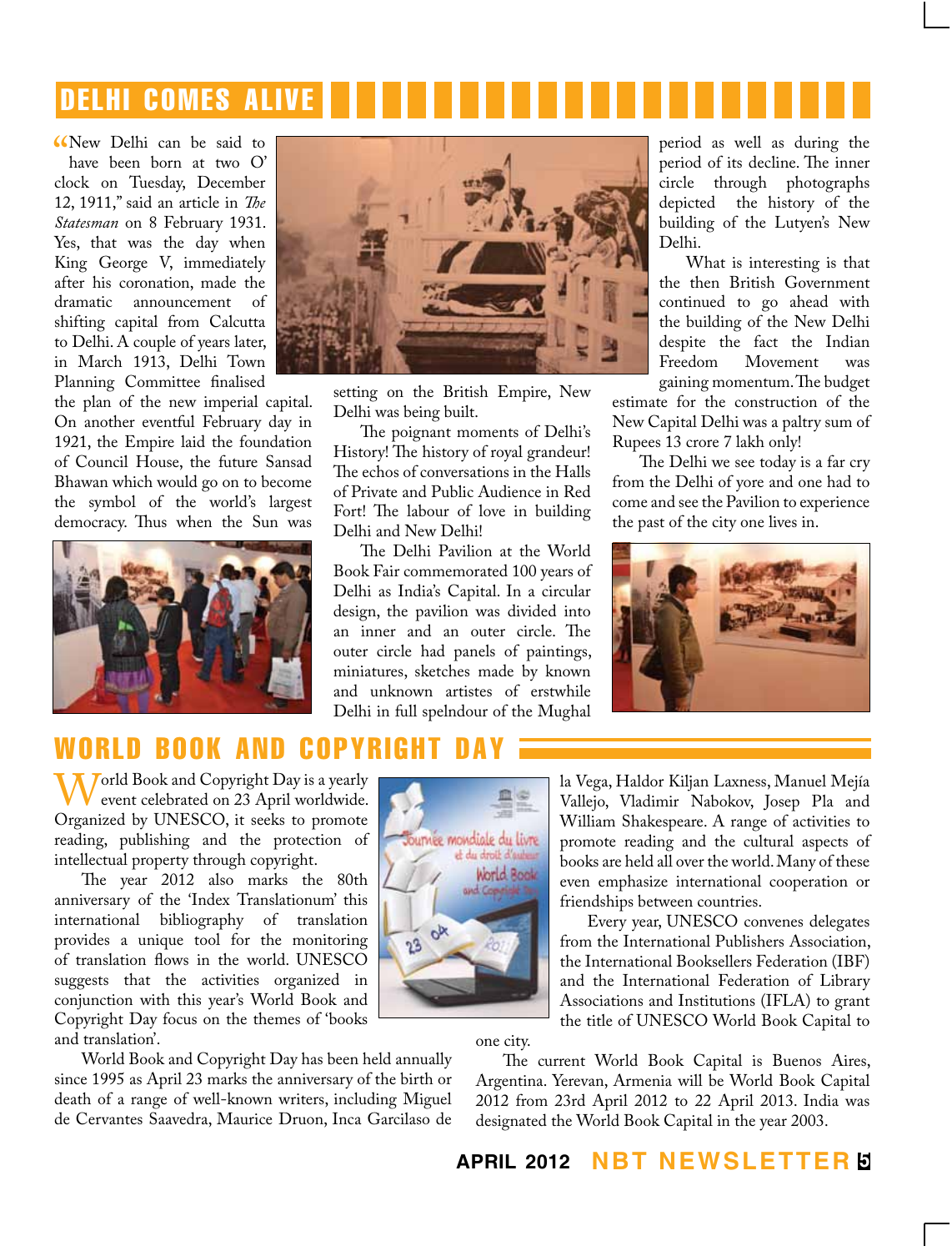# delhi comes alive

New Delhi can be said to<br>have been born at two O'<br>clock on Tuesday, December New Delhi can be said to have been born at two O' 12, 1911," said an article in *The Statesman* on 8 February 1931. Yes, that was the day when King George V, immediately after his coronation, made the<br>dramatic announcement of dramatic announcement shifting capital from Calcutta to Delhi. A couple of years later, in March 1913, Delhi Town Planning Committee finalised

the plan of the new imperial capital. On another eventful February day in 1921, the Empire laid the foundation of Council House, the future Sansad Bhawan which would go on to become the symbol of the world's largest democracy. Thus when the Sun was





setting on the British Empire, New Delhi was being built.

The poignant moments of Delhi's History! The history of royal grandeur! The echos of conversations in the Halls of Private and Public Audience in Red Fort! The labour of love in building Delhi and New Delhi!

The Delhi Pavilion at the World Book Fair commemorated 100 years of Delhi as India's Capital. In a circular design, the pavilion was divided into an inner and an outer circle. The outer circle had panels of paintings, miniatures, sketches made by known and unknown artistes of erstwhile Delhi in full spelndour of the Mughal

period as well as during the period of its decline. The inner circle through photographs depicted the history of the building of the Lutyen's New Delhi.

What is interesting is that the then British Government continued to go ahead with the building of the New Delhi despite the fact the Indian Movement gaining momentum. The budget

estimate for the construction of the New Capital Delhi was a paltry sum of Rupees 13 crore 7 lakh only!

The Delhi we see today is a far cry from the Delhi of yore and one had to come and see the Pavilion to experience the past of the city one lives in.



# world book and

World Book and Copyright Day is a yearly<br>
event celebrated on 23 April worldwide.<br>
Organized by UNESCO, it seeks to promote Organized by UNESCO, it seeks to promote reading, publishing and the protection of intellectual property through copyright.

The year 2012 also marks the 80th anniversary of the 'Index Translationum' this international bibliography of translation provides a unique tool for the monitoring of translation flows in the world. UNESCO suggests that the activities organized in conjunction with this year's World Book and Copyright Day focus on the themes of 'books and translation'.

World Book and Copyright Day has been held annually since 1995 as April 23 marks the anniversary of the birth or death of a range of well-known writers, including Miguel de Cervantes Saavedra, Maurice Druon, Inca Garcilaso de



la Vega, Haldor Kiljan Laxness, Manuel Mejía Vallejo, Vladimir Nabokov, Josep Pla and William Shakespeare. A range of activities to promote reading and the cultural aspects of books are held all over the world. Many of these even emphasize international cooperation or friendships between countries.

Every year, UNESCO convenes delegates from the International Publishers Association, the International Booksellers Federation (IBF) and the International Federation of Library Associations and Institutions (IFLA) to grant the title of UNESCO World Book Capital to

one city.

The current World Book Capital is Buenos Aires, Argentina. Yerevan, Armenia will be World Book Capital 2012 from 23rd April 2012 to 22 April 2013. India was designated the World Book Capital in the year 2003.

#### **april 2012 NBT Newsletter 5**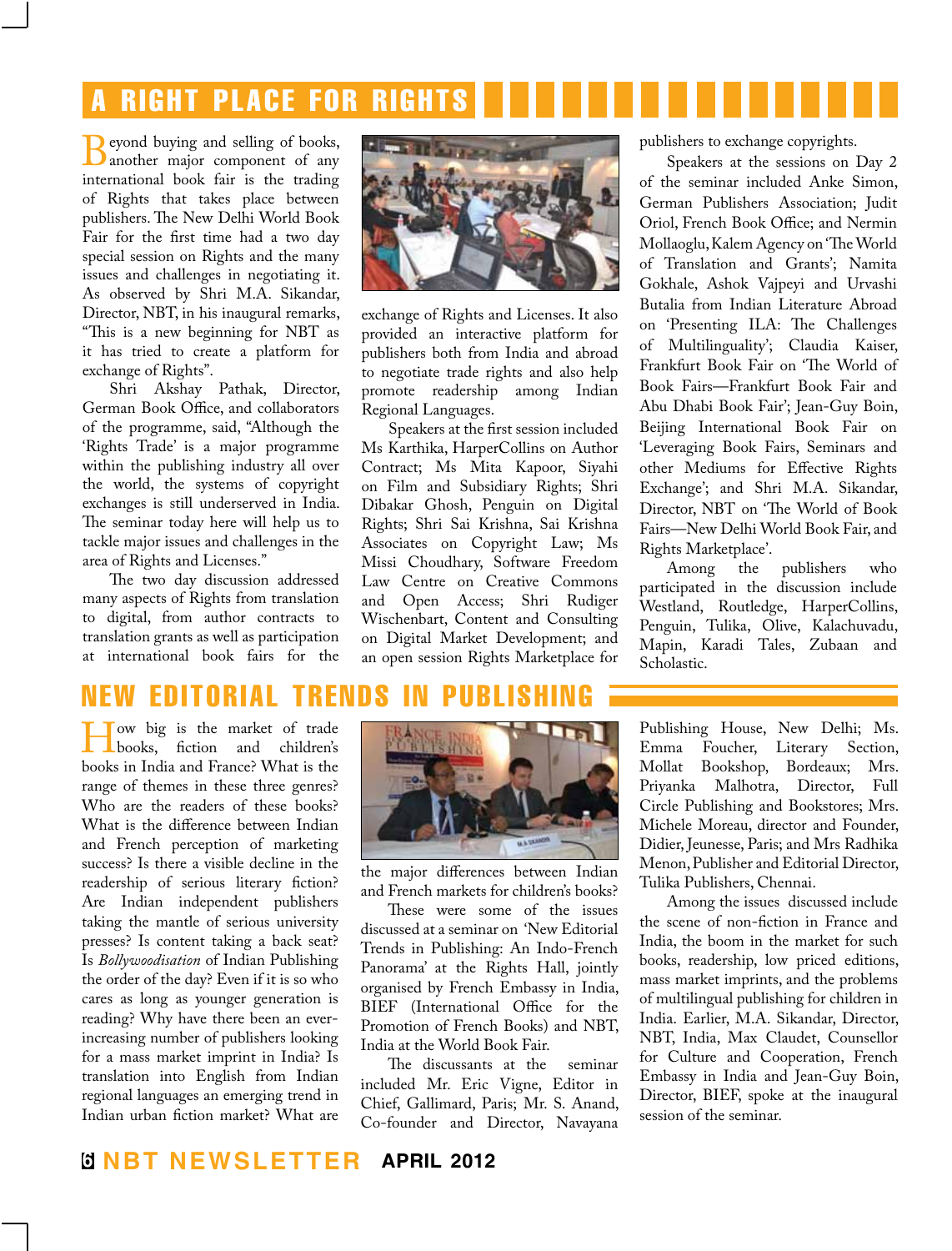# **RIGHT PLACE FOR RIGHT**

**B**eyond buying and selling of books,<br>
international book fair is the trading international book fair is the trading of Rights that takes place between publishers. The New Delhi World Book Fair for the first time had a two day special session on Rights and the many issues and challenges in negotiating it. As observed by Shri M.A. Sikandar, Director, NBT, in his inaugural remarks, "This is a new beginning for NBT as it has tried to create a platform for exchange of Rights".

Shri Akshay Pathak, Director, German Book Office, and collaborators of the programme, said, "Although the 'Rights Trade' is a major programme within the publishing industry all over the world, the systems of copyright exchanges is still underserved in India. The seminar today here will help us to tackle major issues and challenges in the area of Rights and Licenses."

The two day discussion addressed many aspects of Rights from translation to digital, from author contracts to translation grants as well as participation at international book fairs for the



exchange of Rights and Licenses. It also provided an interactive platform for publishers both from India and abroad to negotiate trade rights and also help promote readership among Indian Regional Languages.

Speakers at the first session included Ms Karthika, HarperCollins on Author Contract; Ms Mita Kapoor, Siyahi on Film and Subsidiary Rights; Shri Dibakar Ghosh, Penguin on Digital Rights; Shri Sai Krishna, Sai Krishna Associates on Copyright Law; Ms Missi Choudhary, Software Freedom Law Centre on Creative Commons and Open Access; Shri Rudiger Wischenbart, Content and Consulting on Digital Market Development; and an open session Rights Marketplace for

publishers to exchange copyrights.

Speakers at the sessions on Day 2 of the seminar included Anke Simon, German Publishers Association; Judit Oriol, French Book Office; and Nermin Mollaoglu, Kalem Agency on 'The World of Translation and Grants'; Namita Gokhale, Ashok Vajpeyi and Urvashi Butalia from Indian Literature Abroad on 'Presenting ILA: The Challenges of Multilinguality'; Claudia Kaiser, Frankfurt Book Fair on 'The World of Book Fairs—Frankfurt Book Fair and Abu Dhabi Book Fair'; Jean-Guy Boin, Beijing International Book Fair on 'Leveraging Book Fairs, Seminars and other Mediums for Effective Rights Exchange'; and Shri M.A. Sikandar, Director, NBT on 'The World of Book Fairs—New Delhi World Book Fair, and Rights Marketplace'.

publishers who participated in the discussion include Westland, Routledge, HarperCollins, Penguin, Tulika, Olive, Kalachuvadu, Mapin, Karadi Tales, Zubaan and Scholastic.

# new editorial trends in publishing

we big is the market of trade<br>books, fiction and children's<br>books in India and France? What is the books in India and France? What is the range of themes in these three genres? Who are the readers of these books? What is the difference between Indian and French perception of marketing success? Is there a visible decline in the readership of serious literary fiction? Are Indian independent publishers taking the mantle of serious university presses? Is content taking a back seat? Is *Bollywoodisation* of Indian Publishing the order of the day? Even if it is so who cares as long as younger generation is reading? Why have there been an everincreasing number of publishers looking for a mass market imprint in India? Is translation into English from Indian regional languages an emerging trend in Indian urban fiction market? What are



the major differences between Indian and French markets for children's books?

These were some of the issues discussed at a seminar on 'New Editorial Trends in Publishing: An Indo-French Panorama' at the Rights Hall, jointly organised by French Embassy in India, BIEF (International Office for the Promotion of French Books) and NBT, India at the World Book Fair.

The discussants at the seminar included Mr. Eric Vigne, Editor in Chief, Gallimard, Paris; Mr. S. Anand, Co-founder and Director, Navayana

Publishing House, New Delhi; Ms. Emma Foucher, Literary Section, Mollat Bookshop, Bordeaux; Mrs. Priyanka Malhotra, Director, Full Circle Publishing and Bookstores; Mrs. Michele Moreau, director and Founder, Didier, Jeunesse, Paris; and Mrs Radhika Menon, Publisher and Editorial Director, Tulika Publishers, Chennai.

Among the issues discussed include the scene of non-fiction in France and India, the boom in the market for such books, readership, low priced editions, mass market imprints, and the problems of multilingual publishing for children in India. Earlier, M.A. Sikandar, Director, NBT, India, Max Claudet, Counsellor for Culture and Cooperation, French Embassy in India and Jean-Guy Boin, Director, BIEF, spoke at the inaugural session of the seminar.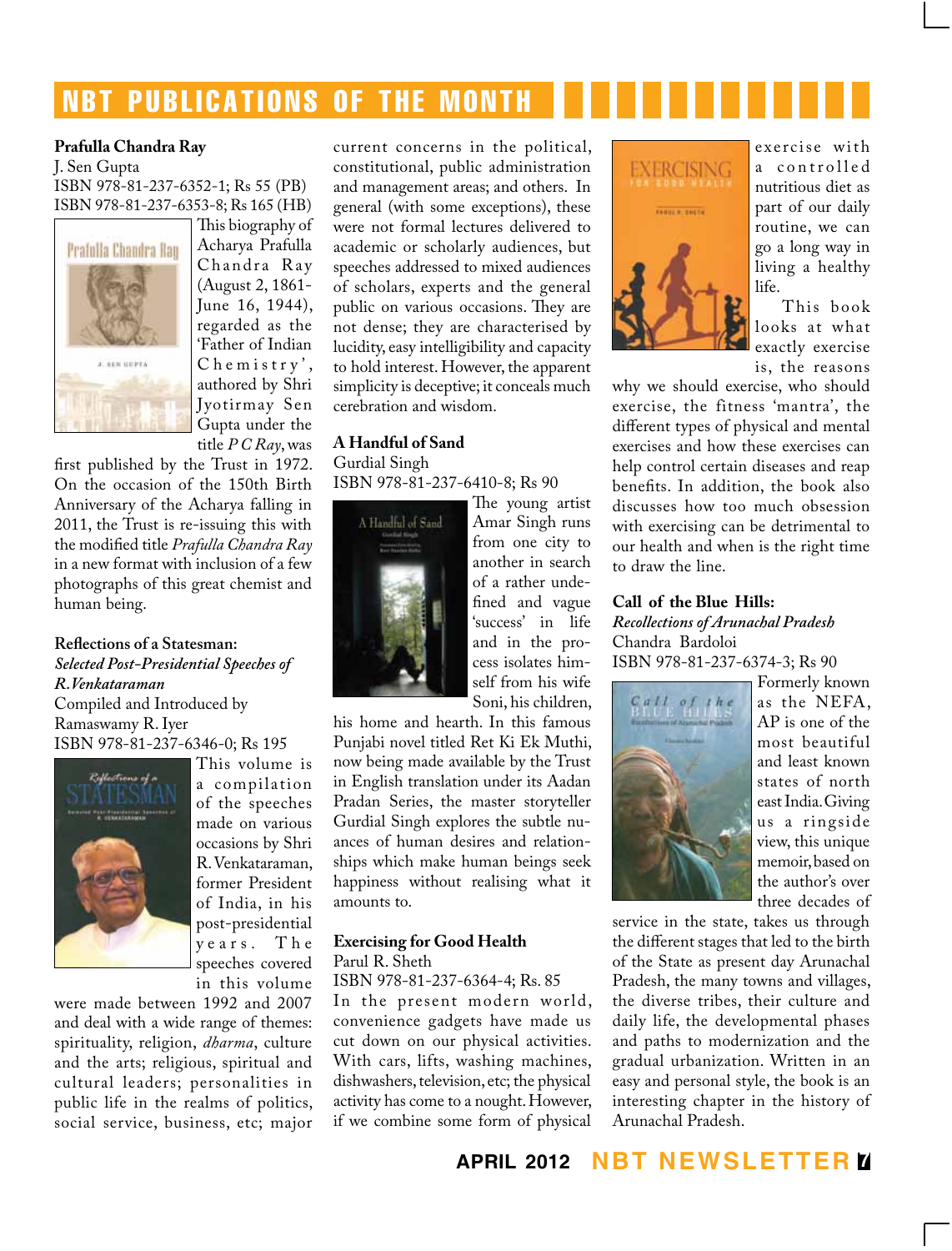# **NBT PUBLICATIONS OF THE MONTH**

#### **Prafulla Chandra Ray**

J. Sen Gupta ISBN 978-81-237-6352-1; Rs 55 (PB) ISBN 978-81-237-6353-8; Rs 165 (HB)



This biography of Acharya Prafulla Chandra Ray (August 2, 1861- June 16, 1944), regarded as the 'Father of Indian  $C$  h e m i s t r y', authored by Shri Jyotirmay Sen Gupta under the title *P C Ray*, was

first published by the Trust in 1972. On the occasion of the 150th Birth Anniversary of the Acharya falling in 2011, the Trust is re-issuing this with the modified title *Prafulla Chandra Ray* in a new format with inclusion of a few photographs of this great chemist and human being.

#### **Reflections of a Statesman:** *Selected Post-Presidential Speeches of R.Venkataraman*

Compiled and Introduced by Ramaswamy R. Iyer ISBN 978-81-237-6346-0; Rs 195



a compilation of the speeches made on various occasions by Shri R. Venkataraman, former President of India, in his post-presidential y e a r s . T h e speeches covered in this volume

This volume is

were made between 1992 and 2007 and deal with a wide range of themes: spirituality, religion, *dharma*, culture and the arts; religious, spiritual and cultural leaders; personalities in public life in the realms of politics, social service, business, etc; major current concerns in the political, constitutional, public administration and management areas; and others. In general (with some exceptions), these were not formal lectures delivered to academic or scholarly audiences, but speeches addressed to mixed audiences of scholars, experts and the general public on various occasions. They are not dense; they are characterised by lucidity, easy intelligibility and capacity to hold interest. However, the apparent simplicity is deceptive; it conceals much cerebration and wisdom.

#### **A Handful of Sand** Gurdial Singh ISBN 978-81-237-6410-8; Rs 90



The young artist Amar Singh runs from one city to another in search of a rather undefined and vague 'success' in life and in the process isolates himself from his wife Soni, his children,

his home and hearth. In this famous Punjabi novel titled Ret Ki Ek Muthi, now being made available by the Trust in English translation under its Aadan Pradan Series, the master storyteller Gurdial Singh explores the subtle nuances of human desires and relationships which make human beings seek happiness without realising what it amounts to.

#### **Exercising for Good Health** Parul R. Sheth

ISBN 978-81-237-6364-4; Rs. 85 In the present modern world, convenience gadgets have made us cut down on our physical activities. With cars, lifts, washing machines, dishwashers, television, etc; the physical activity has come to a nought. However, if we combine some form of physical



exercise with a controlled nutritious diet as part of our daily routine, we can go a long way in living a healthy life.

This book looks at what exactly exercise is, the reasons

why we should exercise, who should exercise, the fitness 'mantra', the different types of physical and mental exercises and how these exercises can help control certain diseases and reap benefits. In addition, the book also discusses how too much obsession with exercising can be detrimental to our health and when is the right time to draw the line.

#### **Call of the Blue Hills:**

*Recollections of Arunachal Pradesh* Chandra Bardoloi ISBN 978-81-237-6374-3; Rs 90



Formerly known as the NEFA, AP is one of the most beautiful and least known states of north east India. Giving us a ringside view, this unique memoir, based on the author's over three decades of

service in the state, takes us through the different stages that led to the birth of the State as present day Arunachal Pradesh, the many towns and villages, the diverse tribes, their culture and daily life, the developmental phases and paths to modernization and the gradual urbanization. Written in an easy and personal style, the book is an interesting chapter in the history of Arunachal Pradesh.

**april 2012 NBT Newsletter 7**